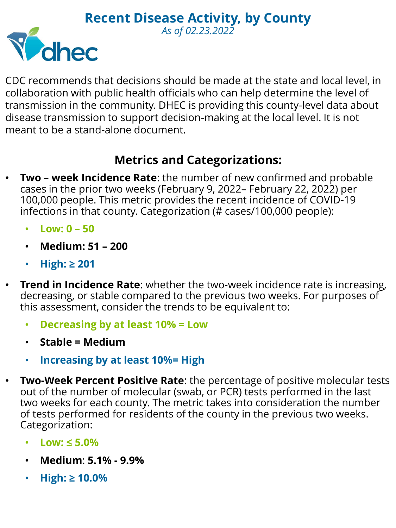

CDC recommends that decisions should be made at the state and local level, in collaboration with public health officials who can help determine the level of transmission in the community. DHEC is providing this county-level data about disease transmission to support decision-making at the local level. It is not meant to be a stand-alone document.

## **Metrics and Categorizations:**

- **Two – week Incidence Rate**: the number of new confirmed and probable cases in the prior two weeks (February 9, 2022– February 22, 2022) per 100,000 people. This metric provides the recent incidence of COVID-19 infections in that county. Categorization (# cases/100,000 people):
	- **Low: 0 – 50**
	- **Medium: 51 – 200**
	- **High: ≥ 201**
- **Trend in Incidence Rate**: whether the two-week incidence rate is increasing, decreasing, or stable compared to the previous two weeks. For purposes of this assessment, consider the trends to be equivalent to:
	- **Decreasing by at least 10% = Low**
	- **Stable = Medium**
	- **Increasing by at least 10%= High**
- **Two-Week Percent Positive Rate**: the percentage of positive molecular tests out of the number of molecular (swab, or PCR) tests performed in the last two weeks for each county. The metric takes into consideration the number of tests performed for residents of the county in the previous two weeks. Categorization:
	- **Low: ≤ 5.0%**
	- **Medium**: **5.1% - 9.9%**
	- **High: ≥ 10.0%**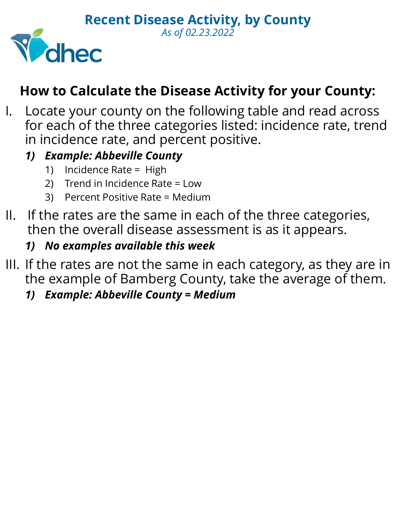

## **How to Calculate the Disease Activity for your County:**

*As of 02.23.2022*

- I. Locate your county on the following table and read across for each of the three categories listed: incidence rate, trend in incidence rate, and percent positive.
	- *1) Example: Abbeville County*
		- 1) Incidence Rate = High
		- 2) Trend in Incidence Rate = Low
		- 3) Percent Positive Rate = Medium
- II. If the rates are the same in each of the three categories, then the overall disease assessment is as it appears.
	- *1) No examples available this week*
- III. If the rates are not the same in each category, as they are in the example of Bamberg County, take the average of them.
	- *1) Example: Abbeville County = Medium*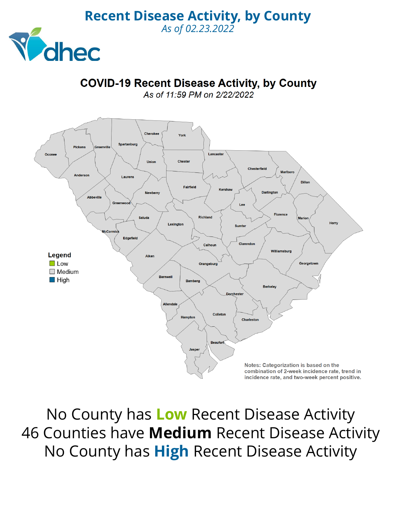

## **COVID-19 Recent Disease Activity, by County**

*As of 02.23.2022*

As of 11:59 PM on 2/22/2022



No County has **Low** Recent Disease Activity 46 Counties have **Medium** Recent Disease Activity No County has **High** Recent Disease Activity